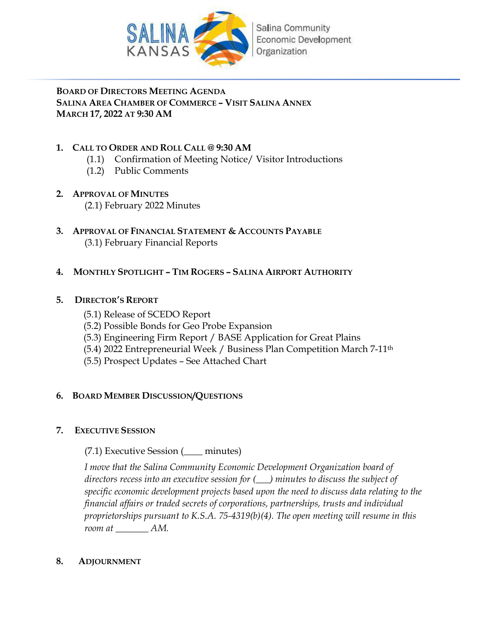

## **BOARD OF DIRECTORS MEETING AGENDA SALINA AREA CHAMBER OF COMMERCE – VISIT SALINA ANNEX MARCH 17, 2022 AT 9:30 AM**

## **1. CALL TO ORDER AND ROLL CALL @ 9:30 AM**

- (1.1) Confirmation of Meeting Notice/ Visitor Introductions
- (1.2) Public Comments
- **2. APPROVAL OF MINUTES** (2.1) February 2022 Minutes
- **3. APPROVAL OF FINANCIAL STATEMENT & ACCOUNTS PAYABLE** (3.1) February Financial Reports

## **4. MONTHLY SPOTLIGHT – TIM ROGERS – SALINA AIRPORT AUTHORITY**

## **5. DIRECTOR'S REPORT**

- (5.1) Release of SCEDO Report
- (5.2) Possible Bonds for Geo Probe Expansion
- (5.3) Engineering Firm Report / BASE Application for Great Plains
- (5.4) 2022 Entrepreneurial Week / Business Plan Competition March 7-11th
- (5.5) Prospect Updates See Attached Chart

## **6. BOARD MEMBER DISCUSSION/QUESTIONS**

## **7. EXECUTIVE SESSION**

(7.1) Executive Session (\_\_\_\_ minutes)

*I move that the Salina Community Economic Development Organization board of directors recess into an executive session for (\_\_\_) minutes to discuss the subject of specific economic development projects based upon the need to discuss data relating to the financial affairs or traded secrets of corporations, partnerships, trusts and individual proprietorships pursuant to K.S.A. 75-4319(b)(4). The open meeting will resume in this room at \_\_\_\_\_\_\_ AM.* 

## **8. ADJOURNMENT**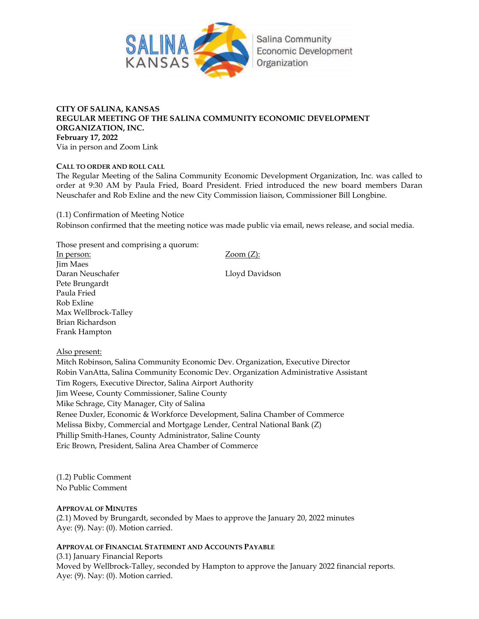

#### **CITY OF SALINA, KANSAS REGULAR MEETING OF THE SALINA COMMUNITY ECONOMIC DEVELOPMENT ORGANIZATION, INC. February 17, 2022** Via in person and Zoom Link

#### **CALL TO ORDER AND ROLL CALL**

The Regular Meeting of the Salina Community Economic Development Organization, Inc. was called to order at 9:30 AM by Paula Fried, Board President. Fried introduced the new board members Daran Neuschafer and Rob Exline and the new City Commission liaison, Commissioner Bill Longbine.

(1.1) Confirmation of Meeting Notice Robinson confirmed that the meeting notice was made public via email, news release, and social media.

Those present and comprising a quorum: In person: Zoom (Z): Jim Maes Daran Neuschafer Lloyd Davidson Pete Brungardt Paula Fried Rob Exline Max Wellbrock-Talley Brian Richardson Frank Hampton

Also present:

Mitch Robinson, Salina Community Economic Dev. Organization, Executive Director Robin VanAtta, Salina Community Economic Dev. Organization Administrative Assistant Tim Rogers, Executive Director, Salina Airport Authority Jim Weese, County Commissioner, Saline County Mike Schrage, City Manager, City of Salina Renee Duxler, Economic & Workforce Development, Salina Chamber of Commerce Melissa Bixby, Commercial and Mortgage Lender, Central National Bank (Z) Phillip Smith-Hanes, County Administrator, Saline County Eric Brown, President, Salina Area Chamber of Commerce

(1.2) Public Comment No Public Comment

#### **APPROVAL OF MINUTES**

(2.1) Moved by Brungardt, seconded by Maes to approve the January 20, 2022 minutes Aye: (9). Nay: (0). Motion carried.

#### **APPROVAL OF FINANCIAL STATEMENT AND ACCOUNTS PAYABLE**

(3.1) January Financial Reports Moved by Wellbrock-Talley, seconded by Hampton to approve the January 2022 financial reports. Aye: (9). Nay: (0). Motion carried.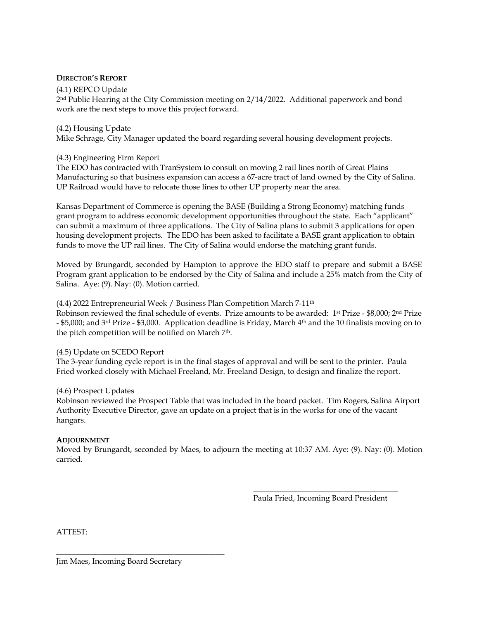#### **DIRECTOR'S REPORT**

#### (4.1) REPCO Update

2 nd Public Hearing at the City Commission meeting on 2/14/2022. Additional paperwork and bond work are the next steps to move this project forward.

#### (4.2) Housing Update

Mike Schrage, City Manager updated the board regarding several housing development projects.

#### (4.3) Engineering Firm Report

The EDO has contracted with TranSystem to consult on moving 2 rail lines north of Great Plains Manufacturing so that business expansion can access a 67-acre tract of land owned by the City of Salina. UP Railroad would have to relocate those lines to other UP property near the area.

Kansas Department of Commerce is opening the BASE (Building a Strong Economy) matching funds grant program to address economic development opportunities throughout the state. Each "applicant" can submit a maximum of three applications. The City of Salina plans to submit 3 applications for open housing development projects. The EDO has been asked to facilitate a BASE grant application to obtain funds to move the UP rail lines. The City of Salina would endorse the matching grant funds.

Moved by Brungardt, seconded by Hampton to approve the EDO staff to prepare and submit a BASE Program grant application to be endorsed by the City of Salina and include a 25% match from the City of Salina. Aye: (9). Nay: (0). Motion carried.

#### (4.4) 2022 Entrepreneurial Week / Business Plan Competition March 7-11th

Robinson reviewed the final schedule of events. Prize amounts to be awarded: 1st Prize - \$8,000; 2nd Prize - \$5,000; and 3rd Prize - \$3,000. Application deadline is Friday, March 4th and the 10 finalists moving on to the pitch competition will be notified on March 7<sup>th</sup>.

#### (4.5) Update on SCEDO Report

The 3-year funding cycle report is in the final stages of approval and will be sent to the printer. Paula Fried worked closely with Michael Freeland, Mr. Freeland Design, to design and finalize the report.

#### (4.6) Prospect Updates

Robinson reviewed the Prospect Table that was included in the board packet. Tim Rogers, Salina Airport Authority Executive Director, gave an update on a project that is in the works for one of the vacant hangars.

#### **ADJOURNMENT**

Moved by Brungardt, seconded by Maes, to adjourn the meeting at 10:37 AM. Aye: (9). Nay: (0). Motion carried.

 $\overline{\phantom{a}}$  , and the state of the state of the state of the state of the state of the state of the state of the state of the state of the state of the state of the state of the state of the state of the state of the stat

Paula Fried, Incoming Board President

ATTEST:

 $\overline{\phantom{a}}$  , and the contract of the contract of the contract of the contract of the contract of the contract of the contract of the contract of the contract of the contract of the contract of the contract of the contrac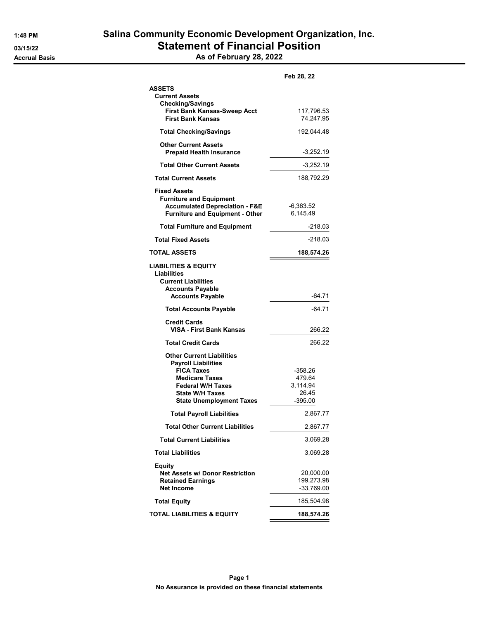|                                           | Feb 28, 22  |
|-------------------------------------------|-------------|
| ASSETS                                    |             |
| <b>Current Assets</b>                     |             |
| <b>Checking/Savings</b>                   |             |
| <b>First Bank Kansas-Sweep Acct</b>       | 117,796.53  |
| <b>First Bank Kansas</b>                  | 74,247.95   |
| <b>Total Checking/Savings</b>             | 192,044.48  |
| <b>Other Current Assets</b>               |             |
| <b>Prepaid Health Insurance</b>           | $-3,252.19$ |
| <b>Total Other Current Assets</b>         | $-3,252.19$ |
| <b>Total Current Assets</b>               | 188,792.29  |
| <b>Fixed Assets</b>                       |             |
| <b>Furniture and Equipment</b>            |             |
| <b>Accumulated Depreciation - F&amp;E</b> | -6,363.52   |
| <b>Furniture and Equipment - Other</b>    | 6,145.49    |
| <b>Total Furniture and Equipment</b>      | $-218.03$   |
| <b>Total Fixed Assets</b>                 | $-218.03$   |
| TOTAL ASSETS                              | 188,574.26  |
|                                           |             |
| <b>LIABILITIES &amp; EQUITY</b>           |             |
| Liabilities                               |             |
| <b>Current Liabilities</b>                |             |
| <b>Accounts Payable</b>                   |             |
| <b>Accounts Payable</b>                   | -64.71      |
| <b>Total Accounts Payable</b>             | $-64.71$    |
| <b>Credit Cards</b>                       |             |
| VISA - First Bank Kansas                  | 266.22      |
| <b>Total Credit Cards</b>                 | 266.22      |
| <b>Other Current Liabilities</b>          |             |
| <b>Payroll Liabilities</b>                |             |
| <b>FICA Taxes</b>                         | -358.26     |
| <b>Medicare Taxes</b>                     | 479.64      |
| <b>Federal W/H Taxes</b>                  | 3,114.94    |
| <b>State W/H Taxes</b>                    | 26.45       |
| <b>State Unemployment Taxes</b>           | $-395.00$   |
| <b>Total Payroll Liabilities</b>          | 2,867.77    |
| <b>Total Other Current Liabilities</b>    | 2,867.77    |
| <b>Total Current Liabilities</b>          | 3,069.28    |
| <b>Total Liabilities</b>                  | 3,069.28    |
|                                           |             |
| Equity                                    |             |
| <b>Net Assets w/ Donor Restriction</b>    | 20,000.00   |
| <b>Retained Earnings</b>                  | 199,273.98  |
| <b>Net Income</b>                         | -33,769.00  |
| <b>Total Equity</b>                       | 185,504.98  |
| TOTAL LIABILITIES & EQUITY                | 188,574.26  |
|                                           |             |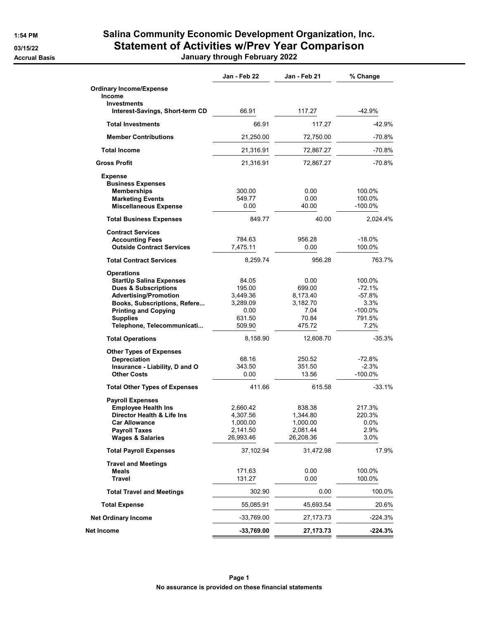## 1:54 PM Salina Community Economic Development Organization, Inc. 03/15/22 Statement of Activities w/Prev Year Comparison Accrual Basis **Accrual Basis Accrual Basis January through February 2022**

|                                                          | Jan - Feb 22         | Jan - Feb 21       | % Change             |
|----------------------------------------------------------|----------------------|--------------------|----------------------|
| <b>Ordinary Income/Expense</b>                           |                      |                    |                      |
| Income<br><b>Investments</b>                             |                      |                    |                      |
| Interest-Savings, Short-term CD                          | 66.91                | 117.27             | -42.9%               |
| <b>Total Investments</b>                                 | 66.91                | 117.27             | -42.9%               |
| <b>Member Contributions</b>                              | 21,250.00            | 72,750.00          | $-70.8%$             |
| <b>Total Income</b>                                      | 21,316.91            | 72,867.27          | $-70.8%$             |
| <b>Gross Profit</b>                                      | 21,316.91            | 72,867.27          | $-70.8%$             |
| <b>Expense</b>                                           |                      |                    |                      |
| <b>Business Expenses</b>                                 |                      |                    |                      |
| <b>Memberships</b>                                       | 300.00               | 0.00               | 100.0%               |
| <b>Marketing Events</b>                                  | 549.77               | 0.00               | 100.0%               |
| <b>Miscellaneous Expense</b>                             | 0.00                 | 40.00              | $-100.0\%$           |
| <b>Total Business Expenses</b>                           | 849.77               | 40.00              | 2,024.4%             |
| <b>Contract Services</b>                                 |                      |                    |                      |
| <b>Accounting Fees</b>                                   | 784.63               | 956.28             | $-18.0%$             |
| <b>Outside Contract Services</b>                         | 7,475.11             | 0.00               | 100.0%               |
| <b>Total Contract Services</b>                           | 8,259.74             | 956.28             | 763.7%               |
| <b>Operations</b>                                        |                      |                    |                      |
| <b>StartUp Salina Expenses</b>                           | 84.05                | 0.00               | 100.0%               |
| <b>Dues &amp; Subscriptions</b>                          | 195.00               | 699.00             | $-72.1%$             |
| <b>Advertising/Promotion</b>                             | 3,449.36             | 8,173.40           | -57.8%               |
| Books, Subscriptions, Refere                             | 3,289.09             | 3,182.70           | 3.3%                 |
| <b>Printing and Copying</b>                              | 0.00                 | 7.04               | $-100.0\%$           |
| <b>Supplies</b>                                          | 631.50<br>509.90     | 70.84<br>475.72    | 791.5%<br>7.2%       |
| Telephone, Telecommunicati                               |                      |                    |                      |
| <b>Total Operations</b>                                  | 8,158.90             | 12,608.70          | $-35.3%$             |
| <b>Other Types of Expenses</b>                           |                      |                    |                      |
| Depreciation                                             | 68.16                | 250.52             | -72.8%               |
| Insurance - Liability, D and O<br><b>Other Costs</b>     | 343.50<br>0.00       | 351.50<br>13.56    | $-2.3%$<br>$-100.0%$ |
|                                                          |                      |                    |                      |
| <b>Total Other Types of Expenses</b>                     | 411.66               | 615.58             | $-33.1%$             |
| <b>Payroll Expenses</b>                                  |                      |                    |                      |
| <b>Employee Health Ins</b><br>Director Health & Life Ins | 2,660.42<br>4,307.56 | 838.38<br>1,344.80 | 217.3%<br>220.3%     |
| <b>Car Allowance</b>                                     | 1,000.00             | 1,000.00           | $0.0\%$              |
| <b>Payroll Taxes</b>                                     | 2,141.50             | 2,081.44           | 2.9%                 |
| <b>Wages &amp; Salaries</b>                              | 26,993.46            | 26,208.36          | 3.0%                 |
| <b>Total Payroll Expenses</b>                            | 37,102.94            | 31,472.98          | 17.9%                |
| <b>Travel and Meetings</b>                               |                      |                    |                      |
| Meals                                                    | 171.63               | 0.00               | 100.0%               |
| <b>Travel</b>                                            | 131.27               | 0.00               | 100.0%               |
| <b>Total Travel and Meetings</b>                         | 302.90               | 0.00               | 100.0%               |
| <b>Total Expense</b>                                     | 55,085.91            | 45,693.54          | 20.6%                |
| <b>Net Ordinary Income</b>                               | $-33,769.00$         | 27,173.73          | -224.3%              |
| Net Income                                               | $-33,769.00$         | 27, 173. 73        | -224.3%              |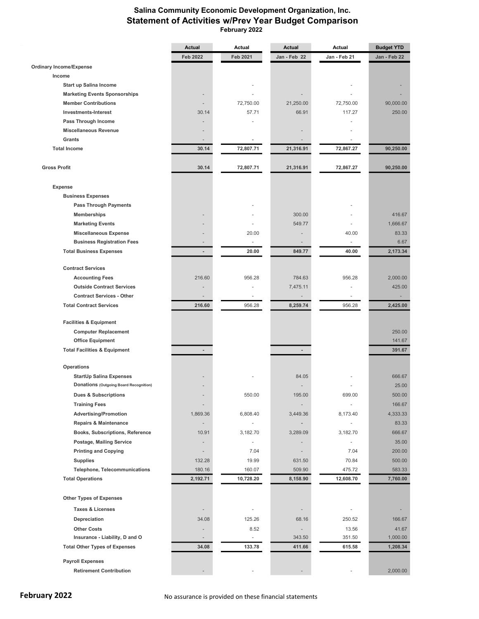### Salina Community Economic Development Organization, Inc. Statement of Activities w/Prev Year Budget Comparison February 2022

|                                         | <b>Actual</b>            | Actual                   | <b>Actual</b>            | Actual                   | <b>Budget YTD</b> |  |  |
|-----------------------------------------|--------------------------|--------------------------|--------------------------|--------------------------|-------------------|--|--|
|                                         | <b>Feb 2022</b>          | <b>Feb 2021</b>          | Jan - Feb 22             | Jan - Feb 21             | Jan - Feb 22      |  |  |
| <b>Ordinary Income/Expense</b>          |                          |                          |                          |                          |                   |  |  |
| Income                                  |                          |                          |                          |                          |                   |  |  |
| <b>Start up Salina Income</b>           |                          |                          |                          |                          |                   |  |  |
| <b>Marketing Events Sponsorships</b>    |                          |                          |                          |                          |                   |  |  |
| <b>Member Contributions</b>             |                          | 72,750.00                | 21,250.00                | 72,750.00                | 90,000.00         |  |  |
| <b>Investments-Interest</b>             | 30.14                    | 57.71                    | 66.91                    | 117.27                   | 250.00            |  |  |
| Pass Through Income                     |                          |                          |                          |                          |                   |  |  |
| <b>Miscellaneous Revenue</b>            |                          |                          |                          |                          |                   |  |  |
| <b>Grants</b>                           |                          |                          |                          |                          |                   |  |  |
| <b>Total Income</b>                     | 30.14                    | 72,807.71                | 21,316.91                | 72,867.27                | 90,250.00         |  |  |
| <b>Gross Profit</b>                     | 30.14                    | 72,807.71                | 21,316.91                | 72,867.27                | 90,250.00         |  |  |
| <b>Expense</b>                          |                          |                          |                          |                          |                   |  |  |
| <b>Business Expenses</b>                |                          |                          |                          |                          |                   |  |  |
| <b>Pass Through Payments</b>            |                          |                          |                          |                          |                   |  |  |
|                                         |                          |                          |                          |                          |                   |  |  |
| <b>Memberships</b>                      |                          |                          | 300.00                   |                          | 416.67            |  |  |
| <b>Marketing Events</b>                 |                          |                          | 549.77                   |                          | 1,666.67          |  |  |
| <b>Miscellaneous Expense</b>            |                          | 20.00                    |                          | 40.00                    | 83.33             |  |  |
| <b>Business Registration Fees</b>       | $\overline{\phantom{a}}$ | $\overline{\phantom{a}}$ |                          | $\overline{\phantom{a}}$ | 6.67              |  |  |
| <b>Total Business Expenses</b>          | $\overline{a}$           | 20.00                    | 849.77                   | 40.00                    | 2,173.34          |  |  |
| <b>Contract Services</b>                |                          |                          |                          |                          |                   |  |  |
| <b>Accounting Fees</b>                  | 216.60                   | 956.28                   | 784.63                   | 956.28                   | 2,000.00          |  |  |
| <b>Outside Contract Services</b>        |                          |                          | 7,475.11                 |                          | 425.00            |  |  |
| <b>Contract Services - Other</b>        |                          |                          |                          |                          |                   |  |  |
| <b>Total Contract Services</b>          | 216.60                   | 956.28                   | 8,259.74                 | 956.28                   | 2,425.00          |  |  |
| <b>Facilities &amp; Equipment</b>       |                          |                          |                          |                          |                   |  |  |
| <b>Computer Replacement</b>             |                          |                          |                          |                          | 250.00            |  |  |
| <b>Office Equipment</b>                 |                          |                          |                          |                          | 141.67            |  |  |
| <b>Total Facilities &amp; Equipment</b> | $\overline{a}$           |                          | $\overline{\phantom{a}}$ |                          | 391.67            |  |  |
|                                         |                          |                          |                          |                          |                   |  |  |
| Operations                              |                          |                          |                          |                          |                   |  |  |
| <b>StartUp Salina Expenses</b>          |                          |                          | 84.05                    |                          | 666.67            |  |  |
| Donations (Outgoing Board Recognition)  |                          |                          |                          |                          | 25.00             |  |  |
| Dues & Subscriptions                    |                          | 550.00                   | 195.00                   | 699.00                   | 500.00            |  |  |
| <b>Training Fees</b>                    |                          |                          |                          |                          | 166.67            |  |  |
| <b>Advertising/Promotion</b>            | 1,869.36                 | 6,808.40                 | 3,449.36                 | 8,173.40                 | 4,333.33          |  |  |
| <b>Repairs &amp; Maintenance</b>        |                          |                          |                          |                          | 83.33             |  |  |
| Books, Subscriptions, Reference         | 10.91                    | 3,182.70                 | 3,289.09                 | 3,182.70                 | 666.67            |  |  |
| Postage, Mailing Service                |                          | ä,                       |                          |                          | 35.00             |  |  |
| <b>Printing and Copying</b>             |                          | 7.04                     |                          | 7.04                     | 200.00            |  |  |
| <b>Supplies</b>                         | 132.28                   | 19.99                    | 631.50                   | 70.84                    | 500.00            |  |  |
| <b>Telephone, Telecommunications</b>    | 180.16                   | 160.07                   | 509.90                   | 475.72                   | 583.33            |  |  |
| <b>Total Operations</b>                 | 2,192.71                 | 10,728.20                | 8,158.90                 | 12,608.70                | 7,760.00          |  |  |
|                                         |                          |                          |                          |                          |                   |  |  |
| <b>Other Types of Expenses</b>          |                          |                          |                          |                          |                   |  |  |
| <b>Taxes &amp; Licenses</b>             |                          |                          |                          |                          |                   |  |  |
| Depreciation                            | 34.08                    | 125.26                   | 68.16                    | 250.52                   | 166.67            |  |  |
| <b>Other Costs</b>                      |                          | 8.52                     | $\overline{\phantom{a}}$ | 13.56                    | 41.67             |  |  |
| Insurance - Liability, D and O          | $\overline{a}$           | $\overline{\phantom{a}}$ | 343.50                   | 351.50                   | 1,000.00          |  |  |
| <b>Total Other Types of Expenses</b>    | 34.08                    | 133.78                   | 411.66                   | 615.58                   | 1,208.34          |  |  |
| <b>Payroll Expenses</b>                 |                          |                          |                          |                          |                   |  |  |
| <b>Retirement Contribution</b>          |                          |                          |                          |                          | 2,000.00          |  |  |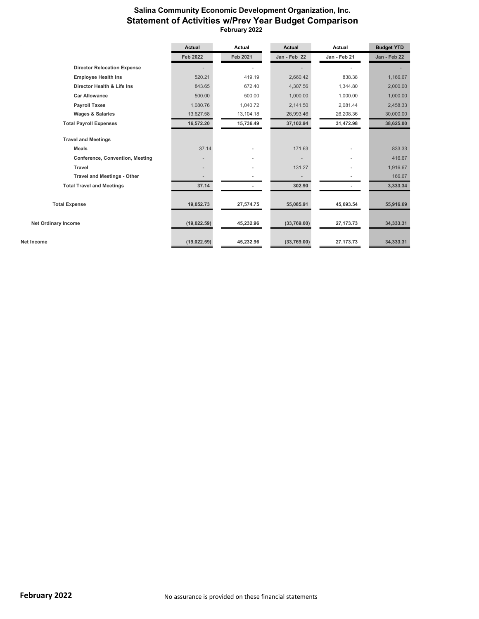### Salina Community Economic Development Organization, Inc. Statement of Activities w/Prev Year Budget Comparison February 2022

|                                    | <b>Actual</b>            | Actual                   | <b>Actual</b>            | Actual       | <b>Budget YTD</b> |
|------------------------------------|--------------------------|--------------------------|--------------------------|--------------|-------------------|
|                                    | <b>Feb 2022</b>          | Feb 2021                 | Jan - Feb 22             | Jan - Feb 21 | Jan - Feb 22      |
| <b>Director Relocation Expense</b> |                          |                          |                          |              |                   |
| <b>Employee Health Ins</b>         | 520.21                   | 419.19                   | 2,660.42                 | 838.38       | 1.166.67          |
| Director Health & Life Ins         | 843.65                   | 672.40                   | 4,307.56                 | 1,344.80     | 2,000.00          |
| <b>Car Allowance</b>               | 500.00                   | 500.00                   | 1,000.00                 | 1,000.00     | 1,000.00          |
| <b>Payroll Taxes</b>               | 1,080.76                 | 1,040.72                 | 2,141.50                 | 2,081.44     | 2,458.33          |
| <b>Wages &amp; Salaries</b>        | 13,627.58                | 13,104.18                | 26,993.46                | 26,208.36    | 30,000.00         |
| <b>Total Payroll Expenses</b>      | 16,572.20                | 15,736.49                | 37,102.94                | 31,472.98    | 38,625.00         |
| <b>Travel and Meetings</b>         |                          |                          |                          |              |                   |
| <b>Meals</b>                       | 37.14                    | $\overline{\phantom{a}}$ | 171.63                   |              | 833.33            |
| Conference, Convention, Meeting    | $\overline{\phantom{a}}$ |                          |                          |              | 416.67            |
| <b>Travel</b>                      |                          |                          | 131.27                   |              | 1,916.67          |
| <b>Travel and Meetings - Other</b> |                          |                          | $\overline{\phantom{a}}$ |              | 166.67            |
| <b>Total Travel and Meetings</b>   | 37.14                    |                          | 302.90                   |              | 3,333.34          |
| <b>Total Expense</b>               | 19,052.73                | 27,574.75                | 55,085.91                | 45,693.54    | 55,916.69         |
| <b>Net Ordinary Income</b>         | (19, 022.59)             | 45,232.96                | (33,769.00)              | 27, 173. 73  | 34,333.31         |
| Net Income                         | (19, 022.59)             | 45,232.96                | (33,769.00)              | 27, 173. 73  | 34,333.31         |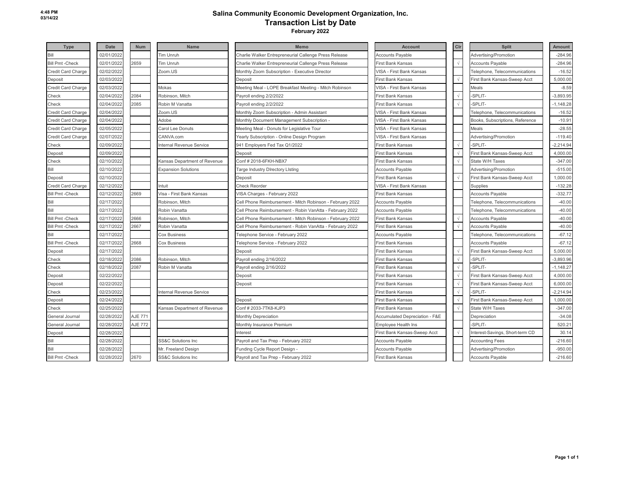## **Salina Community Economic Development Organization, Inc. Transaction List by Date**

 **February 2022**

| <b>Type</b>             | <b>Date</b> | <b>Num</b> | <b>Name</b>                         | <b>Memo</b>                                               | <b>Account</b>                 | Cir        | <b>Split</b>                    | <b>Amount</b> |
|-------------------------|-------------|------------|-------------------------------------|-----------------------------------------------------------|--------------------------------|------------|---------------------------------|---------------|
| Bill                    | 02/01/2022  |            | <b>Tim Unruh</b>                    | Charlie Walker Entrepreneurial Callenge Press Release     | <b>Accounts Payable</b>        |            | Advertising/Promotion           | $-284.96$     |
| <b>Bill Pmt -Check</b>  | 02/01/2022  | 2659       | Tim Unruh                           | Charlie Walker Entrepreneurial Callenge Press Release     | First Bank Kansas              | $\sqrt{ }$ | <b>Accounts Payable</b>         | $-284.96$     |
| Credit Card Charge      | 02/02/2022  |            | Zoom.US                             | Monthly Zoom Subscription - Executive Director            | /ISA - First Bank Kansas       |            | Telephone, Telecommunications   | $-16.52$      |
| Deposit                 | 02/03/2022  |            |                                     | Deposit                                                   | First Bank Kansas              | $\sqrt{ }$ | First Bank Kansas-Sweep Acct    | 5,000.00      |
| Credit Card Charge      | 02/03/2022  |            | Mokas                               | Meeting Meal - LOPE Breakfast Meeting - Mitch Robinson    | VISA - First Bank Kansas       |            | Meals                           | $-8.59$       |
| Check                   | 02/04/2022  | 2084       | Robinson, Mitch                     | Payroll ending 2/2/2022                                   | First Bank Kansas              |            | -SPLIT-                         | $-3,893.95$   |
| Check                   | 02/04/2022  | 2085       | Robin M Vanatta                     | Payroll ending 2/2/2022                                   | First Bank Kansas              | $\sqrt{ }$ | -SPLIT-                         | $-1,148.28$   |
| Credit Card Charge      | 02/04/2022  |            | Zoom.US                             | Monthly Zoom Subscription - Admin Assistant               | VISA - First Bank Kansas       |            | Telephone, Telecommunications   | $-16.52$      |
| Credit Card Charge      | 02/04/2022  |            | Adobe                               | Monthly Document Management Subscription -                | √ISA - First Bank Kansas       |            | Books, Subscriptions, Reference | $-10.91$      |
| Credit Card Charge      | 02/05/2022  |            | Carol Lee Donuts                    | Meeting Meal - Donuts for Legislative Tour                | √ISA - First Bank Kansas       |            | Meals                           | $-28.55$      |
| Credit Card Charge      | 02/07/2022  |            | CANVA.com                           | Yearly Subscription - Online Design Program               | VISA - First Bank Kansas       |            | Advertising/Promotion           | $-119.40$     |
| Check                   | 02/09/2022  |            | nternal Revenue Service             | 941 Employers Fed Tax Q1/2022                             | First Bank Kansas              |            | SPLIT-                          | $-2,214.94$   |
| Deposit                 | 02/09/2022  |            |                                     | Deposit                                                   | First Bank Kansas              | $\sqrt{ }$ | First Bank Kansas-Sweep Acct    | 4,000.00      |
| Check                   | 02/10/2022  |            | <b>Kansas Department of Revenue</b> | Conf # 2018-6FKH-NBX7                                     | First Bank Kansas              | $\sqrt{ }$ | State W/H Taxes                 | $-347.00$     |
| Bill                    | 02/10/2022  |            | <b>Expansion Solutions</b>          | Targe Industry Directory Listing                          | <b>Accounts Payable</b>        |            | Advertising/Promotion           | $-515.00$     |
| Deposit                 | 02/10/2022  |            |                                     | Deposit                                                   | First Bank Kansas              |            | First Bank Kansas-Sweep Acct    | 1,000.00      |
| Credit Card Charge      | 02/12/2022  |            | Intuit                              | <b>Check Reorder</b>                                      | VISA - First Bank Kansas       |            | Supplies                        | $-132.28$     |
| <b>Bill Pmt -Check</b>  | 02/12/2022  | 2669       | Visa - First Bank Kansas            | VISA Charges - February 2022                              | First Bank Kansas              |            | Accounts Payable                | $-332.77$     |
| Bill                    | 02/17/2022  |            | Robinson, Mitch                     | Cell Phone Reimbursement - Mitch Robinson - February 2022 | Accounts Payable               |            | Telephone, Telecommunications   | $-40.00$      |
| Bill                    | 02/17/2022  |            | Robin Vanatta                       | Cell Phone Reimbursement - Robin VanAtta - February 2022  | <b>Accounts Payable</b>        |            | Telephone, Telecommunications   | $-40.00$      |
| <b>Bill Pmt - Check</b> | 02/17/2022  | 2666       | Robinson, Mitch                     | Cell Phone Reimbursement - Mitch Robinson - February 2022 | <b>First Bank Kansas</b>       | $\sqrt{ }$ | <b>Accounts Payable</b>         | $-40.00$      |
| <b>Bill Pmt - Check</b> | 02/17/2022  | 2667       | Robin Vanatta                       | Cell Phone Reimbursement - Robin VanAtta - February 2022  | First Bank Kansas              | $\sqrt{ }$ | <b>Accounts Payable</b>         | $-40.00$      |
| Bill                    | 02/17/2022  |            | Cox Business                        | Telephone Service - February 2022                         | <b>Accounts Payable</b>        |            | Telephone, Telecommunications   | $-67.12$      |
| <b>Bill Pmt -Check</b>  | 02/17/2022  | 2668       | <b>Cox Business</b>                 | Telephone Service - February 2022                         | First Bank Kansas              |            | <b>Accounts Payable</b>         | $-67.12$      |
| Deposit                 | 02/17/2022  |            |                                     | Deposit                                                   | First Bank Kansas              | $\sqrt{ }$ | First Bank Kansas-Sweep Acct    | 5,000.00      |
| Check                   | 02/18/2022  | 2086       | Robinson, Mitch                     | Payroll ending 2/16/2022                                  | First Bank Kansas              | $\sqrt{ }$ | -SPLIT-                         | $-3,893.96$   |
| Check                   | 02/18/2022  | 2087       | Robin M Vanatta                     | Payroll ending 2/16/2022                                  | First Bank Kansas              | $\sqrt{ }$ | -SPLIT-                         | $-1,148.27$   |
| Deposit                 | 02/22/2022  |            |                                     | Deposit                                                   | First Bank Kansas              | $\sqrt{ }$ | First Bank Kansas-Sweep Acct    | 4,000.00      |
| Deposit                 | 02/22/2022  |            |                                     | Deposit                                                   | <b>First Bank Kansas</b>       | $\sqrt{ }$ | First Bank Kansas-Sweep Acct    | 6,000.00      |
| Check                   | 02/23/2022  |            | nternal Revenue Service             |                                                           | First Bank Kansas              | $\sqrt{ }$ | -SPLIT-                         | $-2,214.94$   |
| Deposit                 | 02/24/2022  |            |                                     | Deposit                                                   | First Bank Kansas              | $\sqrt{ }$ | First Bank Kansas-Sweep Acct    | 1,000.00      |
| Check                   | 02/25/2022  |            | Kansas Department of Revenue        | Conf # 2033-7TK8-KJP3                                     | First Bank Kansas              | $\sqrt{ }$ | State W/H Taxes                 | $-347.00$     |
| General Journal         | 02/28/2022  | AJE 771    |                                     | <b>Monthly Depreciation</b>                               | Accumulated Depreciation - F&E |            | Depreciation                    | $-34.08$      |
| General Journal         | 02/28/2022  | AJE 772    |                                     | Monthly Insurance Premium                                 | Employee Health Ins            |            | -SPLIT-                         | 520.21        |
| Deposit                 | 02/28/2022  |            |                                     | Interest                                                  | First Bank Kansas-Sweep Acct   |            | Interest-Savings, Short-term CD | 30.14         |
| Bill                    | 02/28/2022  |            | <b>SS&amp;C Solutions Inc</b>       | Payroll and Tax Prep - February 2022                      | <b>Accounts Payable</b>        |            | <b>Accounting Fees</b>          | $-216.60$     |
| Bill                    | 02/28/2022  |            | Mr. Freeland Design                 | Funding Cycle Report Design -                             | <b>Accounts Payable</b>        |            | Advertising/Promotion           | $-950.00$     |
| <b>Bill Pmt -Check</b>  | 02/28/2022  | 2670       | <b>SS&amp;C Solutions Inc.</b>      | Payroll and Tax Prep - February 2022                      | <b>First Bank Kansas</b>       |            | <b>Accounts Payable</b>         | $-216.60$     |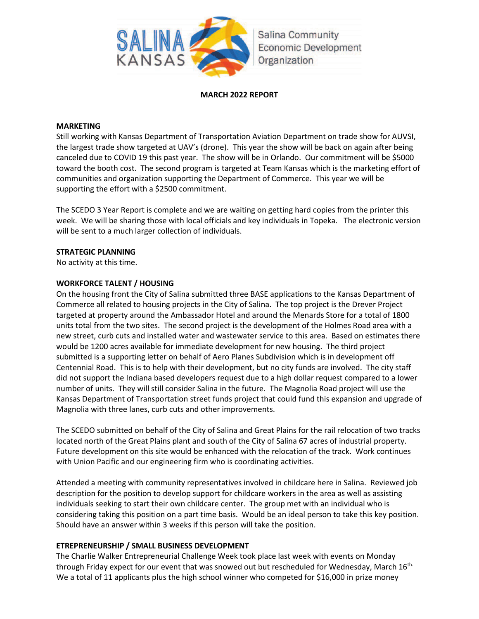

#### **MARCH 2022 REPORT**

#### **MARKETING**

Still working with Kansas Department of Transportation Aviation Department on trade show for AUVSI, the largest trade show targeted at UAV's (drone). This year the show will be back on again after being canceled due to COVID 19 this past year. The show will be in Orlando. Our commitment will be \$5000 toward the booth cost. The second program is targeted at Team Kansas which is the marketing effort of communities and organization supporting the Department of Commerce. This year we will be supporting the effort with a \$2500 commitment.

The SCEDO 3 Year Report is complete and we are waiting on getting hard copies from the printer this week. We will be sharing those with local officials and key individuals in Topeka. The electronic version will be sent to a much larger collection of individuals.

#### **STRATEGIC PLANNING**

No activity at this time.

#### **WORKFORCE TALENT / HOUSING**

On the housing front the City of Salina submitted three BASE applications to the Kansas Department of Commerce all related to housing projects in the City of Salina. The top project is the Drever Project targeted at property around the Ambassador Hotel and around the Menards Store for a total of 1800 units total from the two sites. The second project is the development of the Holmes Road area with a new street, curb cuts and installed water and wastewater service to this area. Based on estimates there would be 1200 acres available for immediate development for new housing. The third project submitted is a supporting letter on behalf of Aero Planes Subdivision which is in development off Centennial Road. This is to help with their development, but no city funds are involved. The city staff did not support the Indiana based developers request due to a high dollar request compared to a lower number of units. They will still consider Salina in the future. The Magnolia Road project will use the Kansas Department of Transportation street funds project that could fund this expansion and upgrade of Magnolia with three lanes, curb cuts and other improvements.

The SCEDO submitted on behalf of the City of Salina and Great Plains for the rail relocation of two tracks located north of the Great Plains plant and south of the City of Salina 67 acres of industrial property. Future development on this site would be enhanced with the relocation of the track. Work continues with Union Pacific and our engineering firm who is coordinating activities.

Attended a meeting with community representatives involved in childcare here in Salina. Reviewed job description for the position to develop support for childcare workers in the area as well as assisting individuals seeking to start their own childcare center. The group met with an individual who is considering taking this position on a part time basis. Would be an ideal person to take this key position. Should have an answer within 3 weeks if this person will take the position.

#### **ETREPRENEURSHIP / SMALL BUSINESS DEVELOPMENT**

The Charlie Walker Entrepreneurial Challenge Week took place last week with events on Monday through Friday expect for our event that was snowed out but rescheduled for Wednesday, March 16<sup>th.</sup> We a total of 11 applicants plus the high school winner who competed for \$16,000 in prize money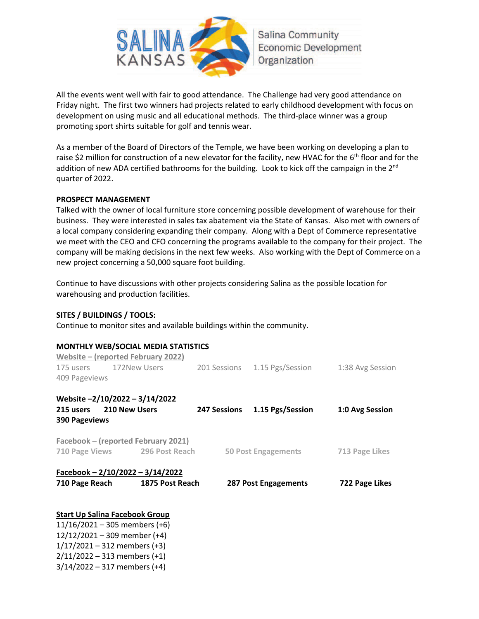

All the events went well with fair to good attendance. The Challenge had very good attendance on Friday night. The first two winners had projects related to early childhood development with focus on development on using music and all educational methods. The third-place winner was a group promoting sport shirts suitable for golf and tennis wear.

As a member of the Board of Directors of the Temple, we have been working on developing a plan to raise \$2 million for construction of a new elevator for the facility, new HVAC for the 6<sup>th</sup> floor and for the addition of new ADA certified bathrooms for the building. Look to kick off the campaign in the 2<sup>nd</sup> quarter of 2022.

#### **PROSPECT MANAGEMENT**

Talked with the owner of local furniture store concerning possible development of warehouse for their business. They were interested in sales tax abatement via the State of Kansas. Also met with owners of a local company considering expanding their company. Along with a Dept of Commerce representative we meet with the CEO and CFO concerning the programs available to the company for their project. The company will be making decisions in the next few weeks. Also working with the Dept of Commerce on a new project concerning a 50,000 square foot building.

Continue to have discussions with other projects considering Salina as the possible location for warehousing and production facilities.

#### **SITES / BUILDINGS / TOOLS:**

Continue to monitor sites and available buildings within the community.

#### **MONTHLY WEB/SOCIAL MEDIA STATISTICS**

|                                       |  | Website – (reported February 2022)         |                |                               |                  |
|---------------------------------------|--|--------------------------------------------|----------------|-------------------------------|------------------|
| 175 users 172New Users                |  |                                            |                | 201 Sessions 1.15 Pgs/Session | 1:38 Avg Session |
| 409 Pageviews                         |  |                                            |                |                               |                  |
| Website -2/10/2022 - 3/14/2022        |  |                                            |                |                               |                  |
| 215 users 210 New Users               |  |                                            |                | 247 Sessions 1.15 Pgs/Session | 1:0 Avg Session  |
| <b>390 Pageviews</b>                  |  |                                            |                |                               |                  |
|                                       |  | <b>Facebook – (reported February 2021)</b> |                |                               |                  |
| 710 Page Views 296 Post Reach         |  | 50 Post Engagements                        | 713 Page Likes |                               |                  |
|                                       |  | Facebook - 2/10/2022 - 3/14/2022           |                |                               |                  |
| 710 Page Reach                        |  | 1875 Post Reach                            |                | 287 Post Engagements          | 722 Page Likes   |
|                                       |  |                                            |                |                               |                  |
| <b>Start Up Salina Facebook Group</b> |  |                                            |                |                               |                  |
| $11/16/2021 - 305$ members (+6)       |  |                                            |                |                               |                  |
| $12/12/2021 - 309$ member (+4)        |  |                                            |                |                               |                  |
| $1/17/2021 - 312$ members (+3)        |  |                                            |                |                               |                  |

2/11/2022 – 313 members (+1)

3/14/2022 – 317 members (+4)